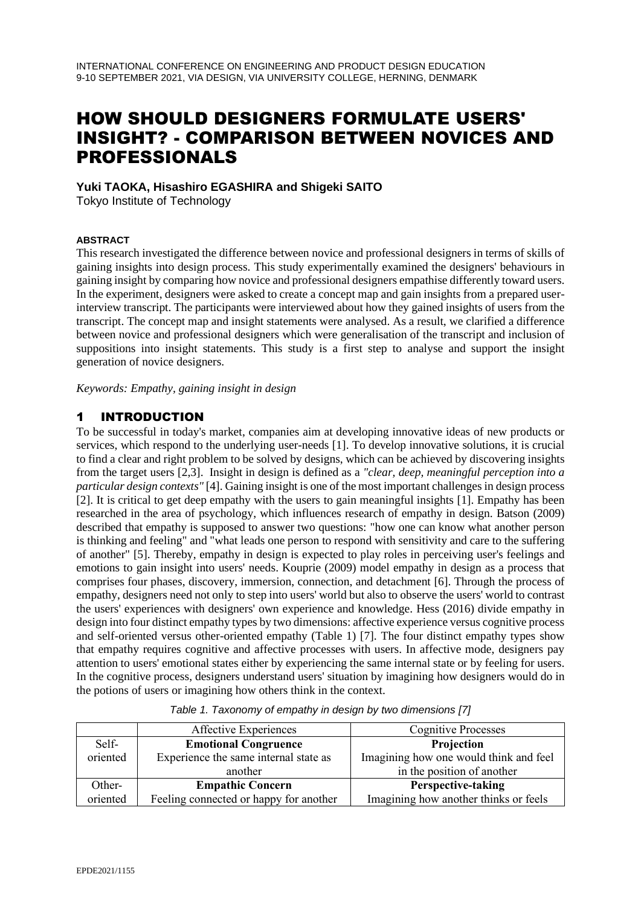# HOW SHOULD DESIGNERS FORMULATE USERS' INSIGHT? - COMPARISON BETWEEN NOVICES AND PROFESSIONALS

**Yuki TAOKA, Hisashiro EGASHIRA and Shigeki SAITO** Tokyo Institute of Technology

#### **ABSTRACT**

This research investigated the difference between novice and professional designers in terms of skills of gaining insights into design process. This study experimentally examined the designers' behaviours in gaining insight by comparing how novice and professional designers empathise differently toward users. In the experiment, designers were asked to create a concept map and gain insights from a prepared userinterview transcript. The participants were interviewed about how they gained insights of users from the transcript. The concept map and insight statements were analysed. As a result, we clarified a difference between novice and professional designers which were generalisation of the transcript and inclusion of suppositions into insight statements. This study is a first step to analyse and support the insight generation of novice designers.

*Keywords: Empathy, gaining insight in design*

## 1 INTRODUCTION

To be successful in today's market, companies aim at developing innovative ideas of new products or services, which respond to the underlying user-needs [1]. To develop innovative solutions, it is crucial to find a clear and right problem to be solved by designs, which can be achieved by discovering insights from the target users [2,3]. Insight in design is defined as a *"clear, deep, meaningful perception into a particular design contexts"* [4]. Gaining insight is one of the most important challenges in design process [2]. It is critical to get deep empathy with the users to gain meaningful insights [1]. Empathy has been researched in the area of psychology, which influences research of empathy in design. Batson (2009) described that empathy is supposed to answer two questions: "how one can know what another person is thinking and feeling" and "what leads one person to respond with sensitivity and care to the suffering of another" [5]. Thereby, empathy in design is expected to play roles in perceiving user's feelings and emotions to gain insight into users' needs. Kouprie (2009) model empathy in design as a process that comprises four phases, discovery, immersion, connection, and detachment [6]. Through the process of empathy, designers need not only to step into users' world but also to observe the users' world to contrast the users' experiences with designers' own experience and knowledge. Hess (2016) divide empathy in design into four distinct empathy types by two dimensions: affective experience versus cognitive process and self-oriented versus other-oriented empathy (Table 1) [7]. The four distinct empathy types show that empathy requires cognitive and affective processes with users. In affective mode, designers pay attention to users' emotional states either by experiencing the same internal state or by feeling for users. In the cognitive process, designers understand users' situation by imagining how designers would do in the potions of users or imagining how others think in the context.

|          | Affective Experiences                  | <b>Cognitive Processes</b>             |
|----------|----------------------------------------|----------------------------------------|
| Self-    | <b>Emotional Congruence</b>            | Projection                             |
| oriented | Experience the same internal state as  | Imagining how one would think and feel |
|          | another                                | in the position of another             |
| Other-   | <b>Empathic Concern</b>                | Perspective-taking                     |
| oriented | Feeling connected or happy for another | Imagining how another thinks or feels  |

*Table 1. Taxonomy of empathy in design by two dimensions [7]*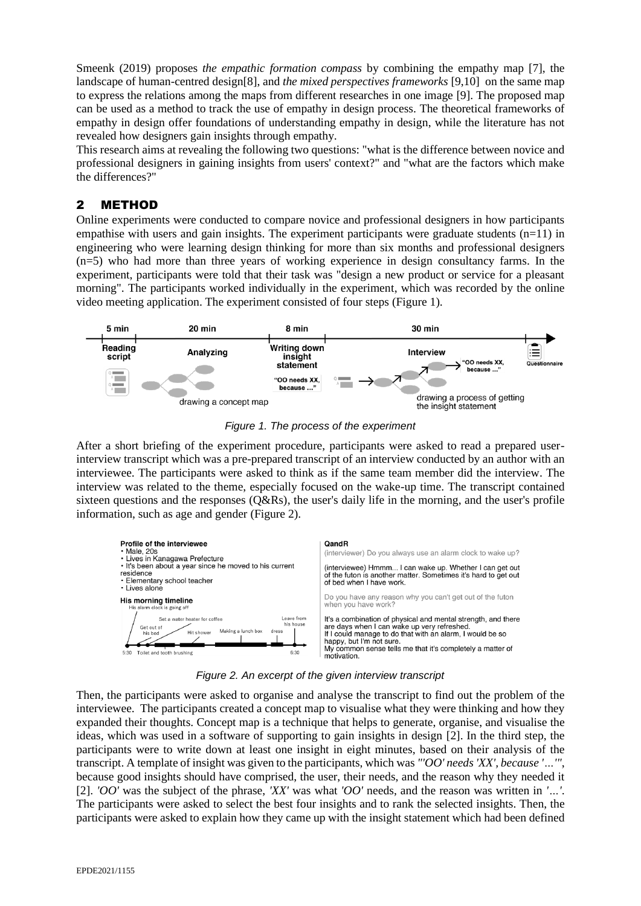Smeenk (2019) proposes *the empathic formation compass* by combining the empathy map [7], the landscape of human-centred design[8], and *the mixed perspectives frameworks* [9,10] on the same map to express the relations among the maps from different researches in one image [9]. The proposed map can be used as a method to track the use of empathy in design process. The theoretical frameworks of empathy in design offer foundations of understanding empathy in design, while the literature has not revealed how designers gain insights through empathy.

This research aims at revealing the following two questions: "what is the difference between novice and professional designers in gaining insights from users' context?" and "what are the factors which make the differences?"

# 2 METHOD

Online experiments were conducted to compare novice and professional designers in how participants empathise with users and gain insights. The experiment participants were graduate students  $(n=11)$  in engineering who were learning design thinking for more than six months and professional designers (n=5) who had more than three years of working experience in design consultancy farms. In the experiment, participants were told that their task was "design a new product or service for a pleasant morning". The participants worked individually in the experiment, which was recorded by the online video meeting application. The experiment consisted of four steps (Figure 1).



*Figure 1. The process of the experiment*

After a short briefing of the experiment procedure, participants were asked to read a prepared userinterview transcript which was a pre-prepared transcript of an interview conducted by an author with an interviewee. The participants were asked to think as if the same team member did the interview. The interview was related to the theme, especially focused on the wake-up time. The transcript contained sixteen questions and the responses (Q&Rs), the user's daily life in the morning, and the user's profile information, such as age and gender (Figure 2).



*Figure 2. An excerpt of the given interview transcript*

Then, the participants were asked to organise and analyse the transcript to find out the problem of the interviewee. The participants created a concept map to visualise what they were thinking and how they expanded their thoughts. Concept map is a technique that helps to generate, organise, and visualise the ideas, which was used in a software of supporting to gain insights in design [2]. In the third step, the participants were to write down at least one insight in eight minutes, based on their analysis of the transcript. A template of insight was given to the participants, which was *"'OO' needs 'XX', because '…'"*, because good insights should have comprised, the user, their needs, and the reason why they needed it [2]. *'OO'* was the subject of the phrase, *'XX'* was what *'OO'* needs, and the reason was written in *'…'*. The participants were asked to select the best four insights and to rank the selected insights. Then, the participants were asked to explain how they came up with the insight statement which had been defined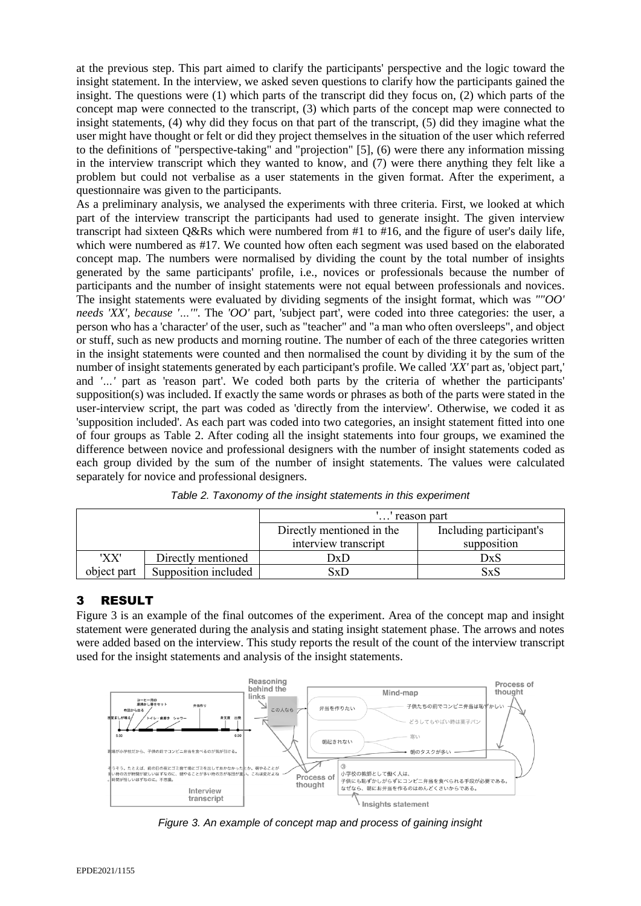at the previous step. This part aimed to clarify the participants' perspective and the logic toward the insight statement. In the interview, we asked seven questions to clarify how the participants gained the insight. The questions were (1) which parts of the transcript did they focus on, (2) which parts of the concept map were connected to the transcript, (3) which parts of the concept map were connected to insight statements, (4) why did they focus on that part of the transcript, (5) did they imagine what the user might have thought or felt or did they project themselves in the situation of the user which referred to the definitions of "perspective-taking" and "projection" [5], (6) were there any information missing in the interview transcript which they wanted to know, and (7) were there anything they felt like a problem but could not verbalise as a user statements in the given format. After the experiment, a questionnaire was given to the participants.

As a preliminary analysis, we analysed the experiments with three criteria. First, we looked at which part of the interview transcript the participants had used to generate insight. The given interview transcript had sixteen Q&Rs which were numbered from #1 to #16, and the figure of user's daily life, which were numbered as #17. We counted how often each segment was used based on the elaborated concept map. The numbers were normalised by dividing the count by the total number of insights generated by the same participants' profile, i.e., novices or professionals because the number of participants and the number of insight statements were not equal between professionals and novices. The insight statements were evaluated by dividing segments of the insight format, which was *""OO' needs 'XX', because '…'"*. The *'OO'* part, 'subject part', were coded into three categories: the user, a person who has a 'character' of the user, such as "teacher" and "a man who often oversleeps", and object or stuff, such as new products and morning routine. The number of each of the three categories written in the insight statements were counted and then normalised the count by dividing it by the sum of the number of insight statements generated by each participant's profile. We called *'XX'* part as, 'object part,' and *'…'* part as 'reason part'. We coded both parts by the criteria of whether the participants' supposition(s) was included. If exactly the same words or phrases as both of the parts were stated in the user-interview script, the part was coded as 'directly from the interview'. Otherwise, we coded it as 'supposition included'. As each part was coded into two categories, an insight statement fitted into one of four groups as Table 2. After coding all the insight statements into four groups, we examined the difference between novice and professional designers with the number of insight statements coded as each group divided by the sum of the number of insight statements. The values were calculated separately for novice and professional designers.

|             |                      | '' reason part            |                         |
|-------------|----------------------|---------------------------|-------------------------|
|             |                      | Directly mentioned in the | Including participant's |
|             |                      | interview transcript      | supposition             |
| 'XX'        | Directly mentioned   | DxD                       | DxS                     |
| object part | Supposition included | SxD                       | SxS                     |

*Table 2. Taxonomy of the insight statements in this experiment*

## 3 RESULT

Figure 3 is an example of the final outcomes of the experiment. Area of the concept map and insight statement were generated during the analysis and stating insight statement phase. The arrows and notes were added based on the interview. This study reports the result of the count of the interview transcript used for the insight statements and analysis of the insight statements.



*Figure 3. An example of concept map and process of gaining insight*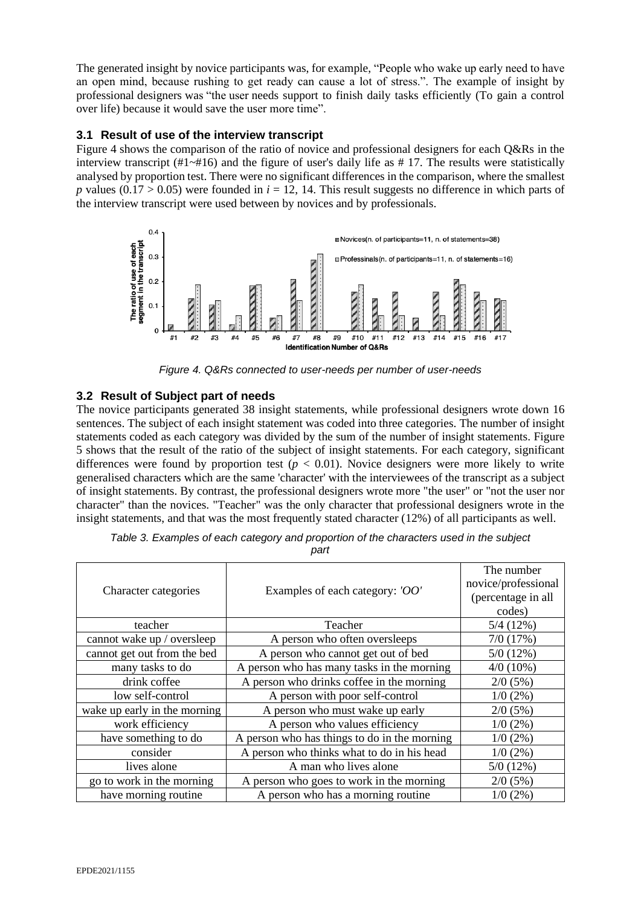The generated insight by novice participants was, for example, "People who wake up early need to have an open mind, because rushing to get ready can cause a lot of stress.". The example of insight by professional designers was "the user needs support to finish daily tasks efficiently (To gain a control over life) because it would save the user more time".

#### **3.1 Result of use of the interview transcript**

Figure 4 shows the comparison of the ratio of novice and professional designers for each Q&Rs in the interview transcript  $(\#1 \sim \#16)$  and the figure of user's daily life as  $\# 17$ . The results were statistically analysed by proportion test. There were no significant differences in the comparison, where the smallest *p* values (0.17 > 0.05) were founded in  $i = 12$ , 14. This result suggests no difference in which parts of the interview transcript were used between by novices and by professionals.



*Figure 4. Q&Rs connected to user-needs per number of user-needs*

#### **3.2 Result of Subject part of needs**

The novice participants generated 38 insight statements, while professional designers wrote down 16 sentences. The subject of each insight statement was coded into three categories. The number of insight statements coded as each category was divided by the sum of the number of insight statements. Figure 5 shows that the result of the ratio of the subject of insight statements. For each category, significant differences were found by proportion test ( $p < 0.01$ ). Novice designers were more likely to write generalised characters which are the same 'character' with the interviewees of the transcript as a subject of insight statements. By contrast, the professional designers wrote more "the user" or "not the user nor character" than the novices. "Teacher" was the only character that professional designers wrote in the insight statements, and that was the most frequently stated character (12%) of all participants as well.

|                              |                                              | The number          |
|------------------------------|----------------------------------------------|---------------------|
|                              |                                              | novice/professional |
| Character categories         | Examples of each category: 'OO'              | (percentage in all  |
|                              |                                              | codes)              |
| teacher                      | Teacher                                      | 5/4(12%)            |
| cannot wake up / oversleep   | A person who often oversleeps                | 7/0(17%)            |
| cannot get out from the bed  | A person who cannot get out of bed           | 5/0(12%)            |
| many tasks to do             | A person who has many tasks in the morning   | $4/0(10\%)$         |
| drink coffee                 | A person who drinks coffee in the morning    | 2/0(5%)             |
| low self-control             | A person with poor self-control              | $1/0$ (2%)          |
| wake up early in the morning | A person who must wake up early              | 2/0(5%)             |
| work efficiency              | A person who values efficiency               | $1/0$ (2%)          |
| have something to do         | A person who has things to do in the morning | $1/0$ (2%)          |
| consider                     | A person who thinks what to do in his head   | $1/0$ (2%)          |
| lives alone                  | A man who lives alone                        | 5/0(12%)            |
| go to work in the morning    | A person who goes to work in the morning     | 2/0(5%)             |
| have morning routine         | A person who has a morning routine           | $1/0$ (2%)          |

*Table 3. Examples of each category and proportion of the characters used in the subject* 

*part*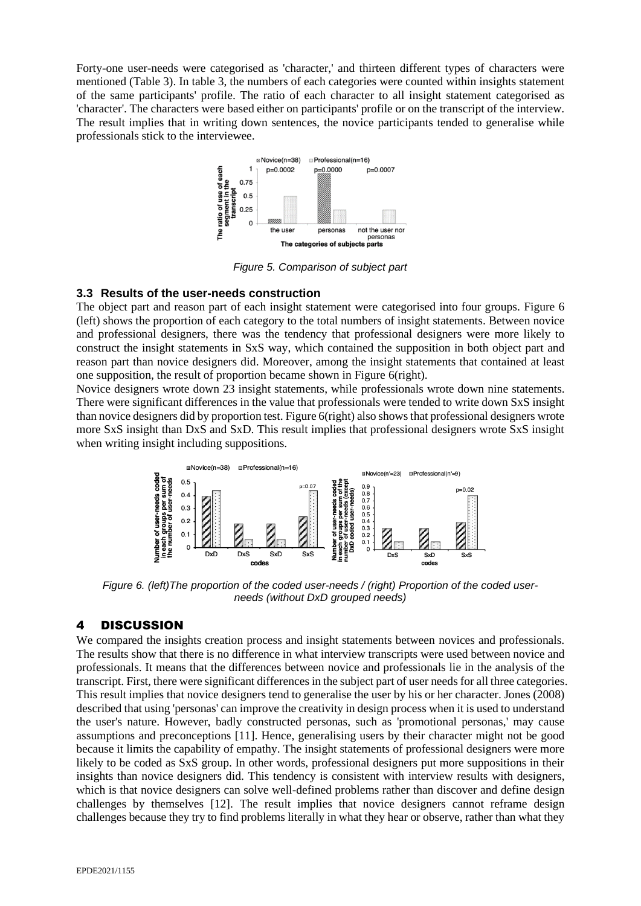Forty-one user-needs were categorised as 'character,' and thirteen different types of characters were mentioned (Table 3). In table 3, the numbers of each categories were counted within insights statement of the same participants' profile. The ratio of each character to all insight statement categorised as 'character'. The characters were based either on participants' profile or on the transcript of the interview. The result implies that in writing down sentences, the novice participants tended to generalise while professionals stick to the interviewee.



*Figure 5. Comparison of subject part*

#### **3.3 Results of the user-needs construction**

The object part and reason part of each insight statement were categorised into four groups. Figure 6 (left) shows the proportion of each category to the total numbers of insight statements. Between novice and professional designers, there was the tendency that professional designers were more likely to construct the insight statements in SxS way, which contained the supposition in both object part and reason part than novice designers did. Moreover, among the insight statements that contained at least one supposition, the result of proportion became shown in Figure 6(right).

Novice designers wrote down 23 insight statements, while professionals wrote down nine statements. There were significant differences in the value that professionals were tended to write down SxS insight than novice designers did by proportion test. Figure 6(right) also shows that professional designers wrote more SxS insight than DxS and SxD. This result implies that professional designers wrote SxS insight when writing insight including suppositions.



*Figure 6. (left)The proportion of the coded user-needs / (right) Proportion of the coded userneeds (without DxD grouped needs)*

## 4 DISCUSSION

We compared the insights creation process and insight statements between novices and professionals. The results show that there is no difference in what interview transcripts were used between novice and professionals. It means that the differences between novice and professionals lie in the analysis of the transcript. First, there were significant differences in the subject part of user needs for all three categories. This result implies that novice designers tend to generalise the user by his or her character. Jones (2008) described that using 'personas' can improve the creativity in design process when it is used to understand the user's nature. However, badly constructed personas, such as 'promotional personas,' may cause assumptions and preconceptions [11]. Hence, generalising users by their character might not be good because it limits the capability of empathy. The insight statements of professional designers were more likely to be coded as SxS group. In other words, professional designers put more suppositions in their insights than novice designers did. This tendency is consistent with interview results with designers, which is that novice designers can solve well-defined problems rather than discover and define design challenges by themselves [12]. The result implies that novice designers cannot reframe design challenges because they try to find problems literally in what they hear or observe, rather than what they